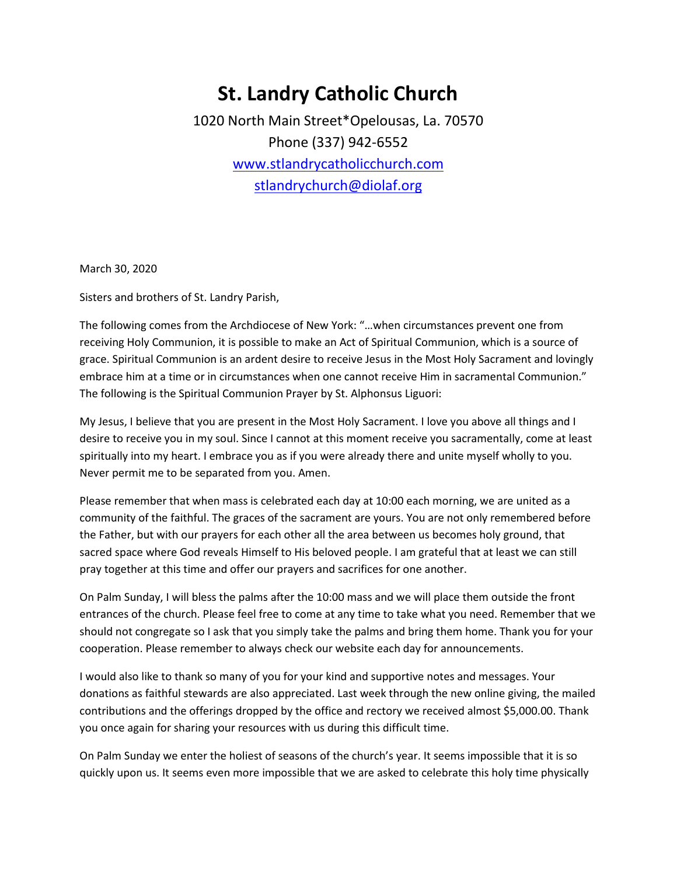## **St. Landry Catholic Church**

1020 North Main Street\*Opelousas, La. 70570 Phone (337) 942-6552 [www.stlandrycatholicchurch.com](http://www.stlandrycatholicchurch.com/) [stlandrychurch@diolaf.org](mailto:stlandrychurch@diolaf.org)

March 30, 2020

Sisters and brothers of St. Landry Parish,

The following comes from the Archdiocese of New York: "…when circumstances prevent one from receiving Holy Communion, it is possible to make an Act of Spiritual Communion, which is a source of grace. Spiritual Communion is an ardent desire to receive Jesus in the Most Holy Sacrament and lovingly embrace him at a time or in circumstances when one cannot receive Him in sacramental Communion." The following is the Spiritual Communion Prayer by St. Alphonsus Liguori:

My Jesus, I believe that you are present in the Most Holy Sacrament. I love you above all things and I desire to receive you in my soul. Since I cannot at this moment receive you sacramentally, come at least spiritually into my heart. I embrace you as if you were already there and unite myself wholly to you. Never permit me to be separated from you. Amen.

Please remember that when mass is celebrated each day at 10:00 each morning, we are united as a community of the faithful. The graces of the sacrament are yours. You are not only remembered before the Father, but with our prayers for each other all the area between us becomes holy ground, that sacred space where God reveals Himself to His beloved people. I am grateful that at least we can still pray together at this time and offer our prayers and sacrifices for one another.

On Palm Sunday, I will bless the palms after the 10:00 mass and we will place them outside the front entrances of the church. Please feel free to come at any time to take what you need. Remember that we should not congregate so I ask that you simply take the palms and bring them home. Thank you for your cooperation. Please remember to always check our website each day for announcements.

I would also like to thank so many of you for your kind and supportive notes and messages. Your donations as faithful stewards are also appreciated. Last week through the new online giving, the mailed contributions and the offerings dropped by the office and rectory we received almost \$5,000.00. Thank you once again for sharing your resources with us during this difficult time.

On Palm Sunday we enter the holiest of seasons of the church's year. It seems impossible that it is so quickly upon us. It seems even more impossible that we are asked to celebrate this holy time physically